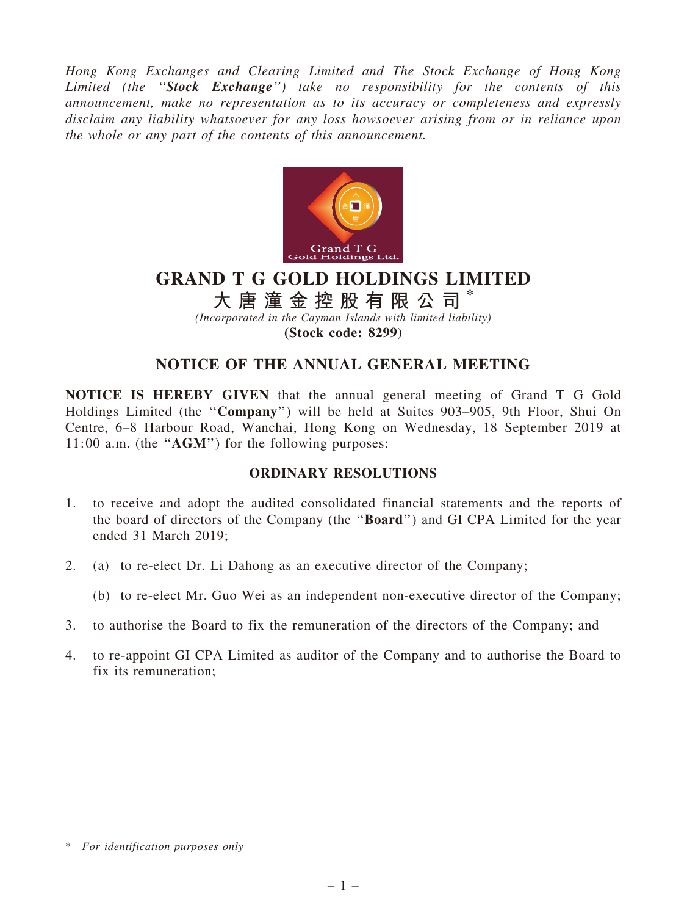Hong Kong Exchanges and Clearing Limited and The Stock Exchange of Hong Kong Limited (the "Stock Exchange") take no responsibility for the contents of this announcement, make no representation as to its accuracy or completeness and expressly disclaim any liability whatsoever for any loss howsoever arising from or in reliance upon the whole or any part of the contents of this announcement.



# GRAND T G GOLD HOLDINGS LIMITED

大 唐 潼 金 控 股 有 限 公 司

(Incorporated in the Cayman Islands with limited liability)

(Stock code: 8299)

## NOTICE OF THE ANNUAL GENERAL MEETING

NOTICE IS HEREBY GIVEN that the annual general meeting of Grand T G Gold Holdings Limited (the ''Company'') will be held at Suites 903–905, 9th Floor, Shui On Centre, 6–8 Harbour Road, Wanchai, Hong Kong on Wednesday, 18 September 2019 at 11:00 a.m. (the ''AGM'') for the following purposes:

#### ORDINARY RESOLUTIONS

- 1. to receive and adopt the audited consolidated financial statements and the reports of the board of directors of the Company (the ''Board'') and GI CPA Limited for the year ended 31 March 2019;
- 2. (a) to re-elect Dr. Li Dahong as an executive director of the Company;
	- (b) to re-elect Mr. Guo Wei as an independent non-executive director of the Company;
- 3. to authorise the Board to fix the remuneration of the directors of the Company; and
- 4. to re-appoint GI CPA Limited as auditor of the Company and to authorise the Board to fix its remuneration;

<sup>\*</sup> For identification purposes only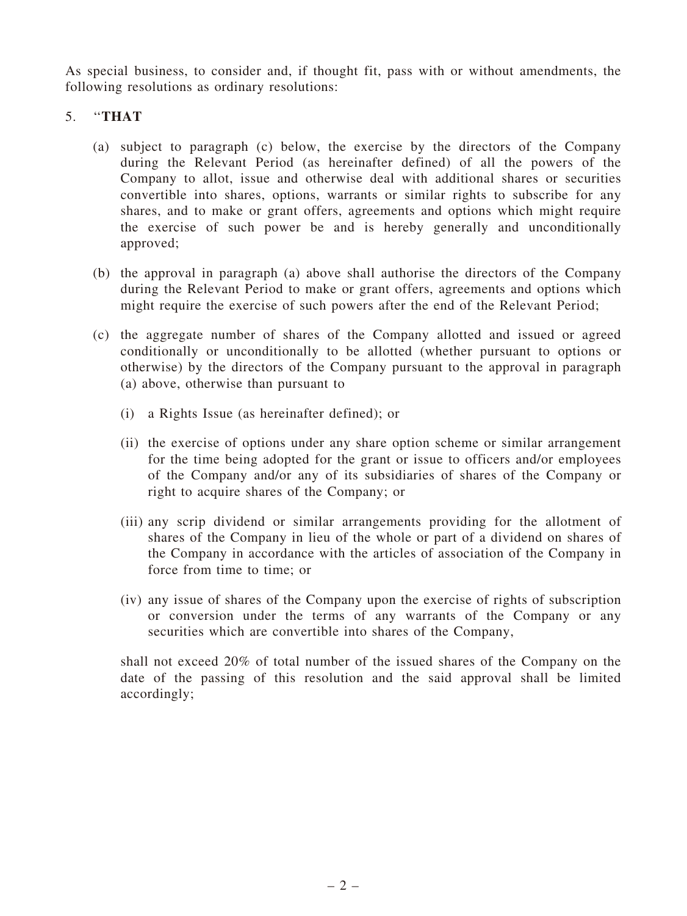As special business, to consider and, if thought fit, pass with or without amendments, the following resolutions as ordinary resolutions:

### 5. ''THAT

- (a) subject to paragraph (c) below, the exercise by the directors of the Company during the Relevant Period (as hereinafter defined) of all the powers of the Company to allot, issue and otherwise deal with additional shares or securities convertible into shares, options, warrants or similar rights to subscribe for any shares, and to make or grant offers, agreements and options which might require the exercise of such power be and is hereby generally and unconditionally approved;
- (b) the approval in paragraph (a) above shall authorise the directors of the Company during the Relevant Period to make or grant offers, agreements and options which might require the exercise of such powers after the end of the Relevant Period;
- (c) the aggregate number of shares of the Company allotted and issued or agreed conditionally or unconditionally to be allotted (whether pursuant to options or otherwise) by the directors of the Company pursuant to the approval in paragraph (a) above, otherwise than pursuant to
	- (i) a Rights Issue (as hereinafter defined); or
	- (ii) the exercise of options under any share option scheme or similar arrangement for the time being adopted for the grant or issue to officers and/or employees of the Company and/or any of its subsidiaries of shares of the Company or right to acquire shares of the Company; or
	- (iii) any scrip dividend or similar arrangements providing for the allotment of shares of the Company in lieu of the whole or part of a dividend on shares of the Company in accordance with the articles of association of the Company in force from time to time; or
	- (iv) any issue of shares of the Company upon the exercise of rights of subscription or conversion under the terms of any warrants of the Company or any securities which are convertible into shares of the Company,

shall not exceed 20% of total number of the issued shares of the Company on the date of the passing of this resolution and the said approval shall be limited accordingly;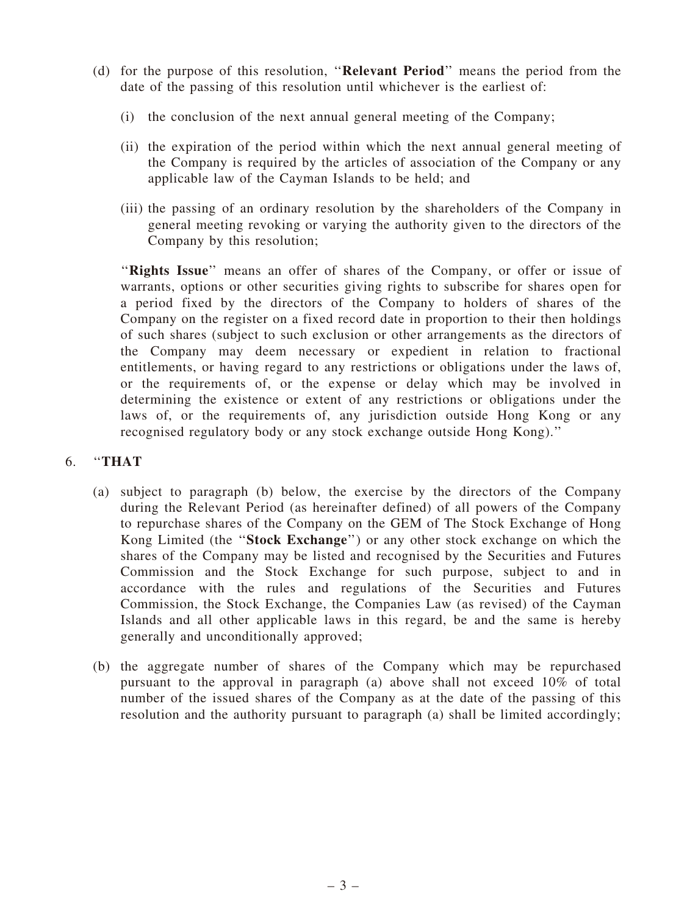- (d) for the purpose of this resolution, ''Relevant Period'' means the period from the date of the passing of this resolution until whichever is the earliest of:
	- (i) the conclusion of the next annual general meeting of the Company;
	- (ii) the expiration of the period within which the next annual general meeting of the Company is required by the articles of association of the Company or any applicable law of the Cayman Islands to be held; and
	- (iii) the passing of an ordinary resolution by the shareholders of the Company in general meeting revoking or varying the authority given to the directors of the Company by this resolution;

"Rights Issue" means an offer of shares of the Company, or offer or issue of warrants, options or other securities giving rights to subscribe for shares open for a period fixed by the directors of the Company to holders of shares of the Company on the register on a fixed record date in proportion to their then holdings of such shares (subject to such exclusion or other arrangements as the directors of the Company may deem necessary or expedient in relation to fractional entitlements, or having regard to any restrictions or obligations under the laws of, or the requirements of, or the expense or delay which may be involved in determining the existence or extent of any restrictions or obligations under the laws of, or the requirements of, any jurisdiction outside Hong Kong or any recognised regulatory body or any stock exchange outside Hong Kong).''

#### 6. ''THAT

- (a) subject to paragraph (b) below, the exercise by the directors of the Company during the Relevant Period (as hereinafter defined) of all powers of the Company to repurchase shares of the Company on the GEM of The Stock Exchange of Hong Kong Limited (the ''Stock Exchange'') or any other stock exchange on which the shares of the Company may be listed and recognised by the Securities and Futures Commission and the Stock Exchange for such purpose, subject to and in accordance with the rules and regulations of the Securities and Futures Commission, the Stock Exchange, the Companies Law (as revised) of the Cayman Islands and all other applicable laws in this regard, be and the same is hereby generally and unconditionally approved;
- (b) the aggregate number of shares of the Company which may be repurchased pursuant to the approval in paragraph (a) above shall not exceed 10% of total number of the issued shares of the Company as at the date of the passing of this resolution and the authority pursuant to paragraph (a) shall be limited accordingly;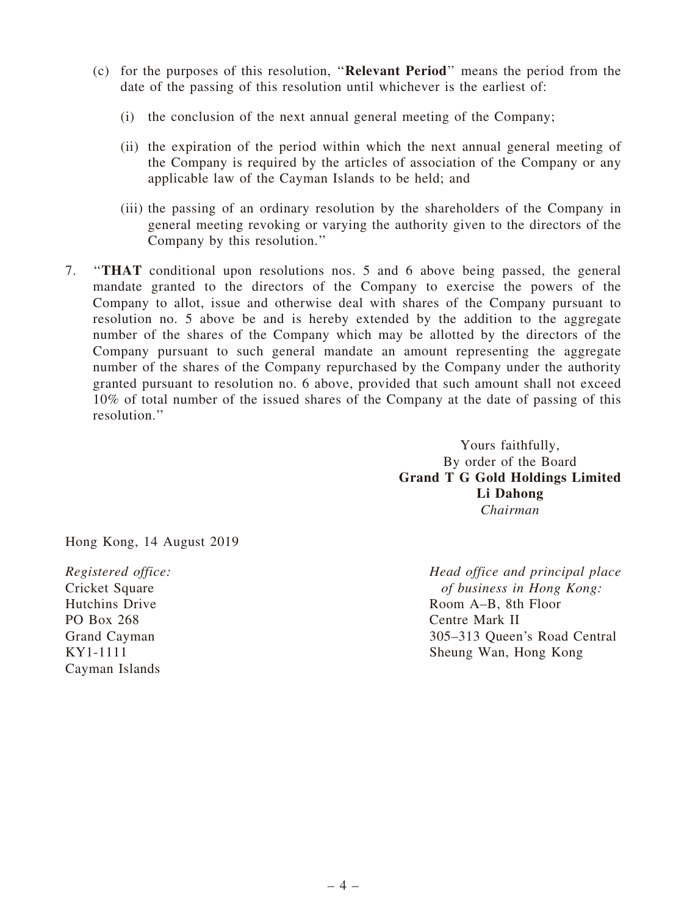- (c) for the purposes of this resolution, ''Relevant Period'' means the period from the date of the passing of this resolution until whichever is the earliest of:
	- (i) the conclusion of the next annual general meeting of the Company;
	- (ii) the expiration of the period within which the next annual general meeting of the Company is required by the articles of association of the Company or any applicable law of the Cayman Islands to be held; and
	- (iii) the passing of an ordinary resolution by the shareholders of the Company in general meeting revoking or varying the authority given to the directors of the Company by this resolution.''
- 7. ''THAT conditional upon resolutions nos. 5 and 6 above being passed, the general mandate granted to the directors of the Company to exercise the powers of the Company to allot, issue and otherwise deal with shares of the Company pursuant to resolution no. 5 above be and is hereby extended by the addition to the aggregate number of the shares of the Company which may be allotted by the directors of the Company pursuant to such general mandate an amount representing the aggregate number of the shares of the Company repurchased by the Company under the authority granted pursuant to resolution no. 6 above, provided that such amount shall not exceed 10% of total number of the issued shares of the Company at the date of passing of this resolution.''

Yours faithfully, By order of the Board Grand T G Gold Holdings Limited Li Dahong Chairman

Hong Kong, 14 August 2019

Registered office: Cricket Square Hutchins Drive PO Box 268 Grand Cayman KY1-1111 Cayman Islands

Head office and principal place of business in Hong Kong: Room A–B, 8th Floor Centre Mark II 305–313 Queen's Road Central Sheung Wan, Hong Kong